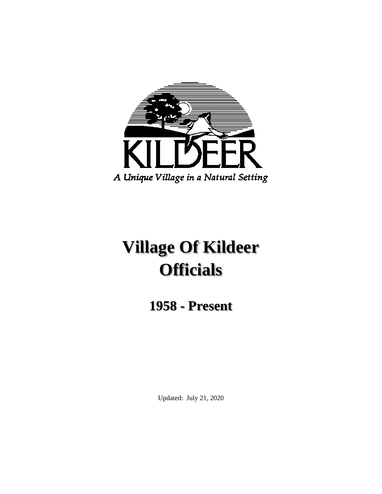

# **Village Of Kildeer Officials**

**1958 - Present**

Updated: July 21, 2020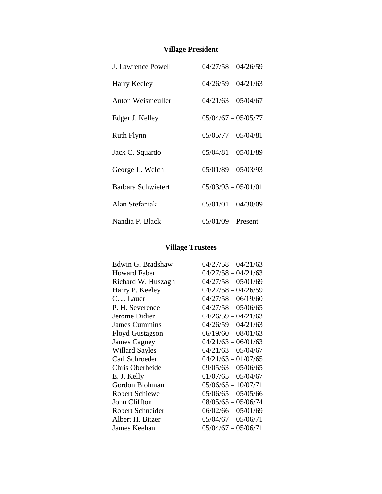# **Village President**

| <b>J. Lawrence Powell</b> | $04/27/58 - 04/26/59$ |
|---------------------------|-----------------------|
| Harry Keeley              | $04/26/59 - 04/21/63$ |
| Anton Weismeuller         | $04/21/63 - 05/04/67$ |
| Edger J. Kelley           | $05/04/67 - 05/05/77$ |
| <b>Ruth Flynn</b>         | $05/05/77 - 05/04/81$ |
| Jack C. Squardo           | $05/04/81 - 05/01/89$ |
| George L. Welch           | $05/01/89 - 05/03/93$ |
| Barbara Schwietert        | $05/03/93 - 05/01/01$ |
| Alan Stefaniak            | $05/01/01 - 04/30/09$ |
| Nandia P. Black           | $05/01/09$ – Present  |

## **Village Trustees**

| Edwin G. Bradshaw     | $04/27/58 - 04/21/63$ |
|-----------------------|-----------------------|
| <b>Howard Faber</b>   | $04/27/58 - 04/21/63$ |
| Richard W. Huszagh    | $04/27/58 - 05/01/69$ |
| Harry P. Keeley       | $04/27/58 - 04/26/59$ |
| C. J. Lauer           | $04/27/58 - 06/19/60$ |
| P. H. Severence       | $04/27/58 - 05/06/65$ |
| Jerome Didier         | $04/26/59 - 04/21/63$ |
| <b>James Cummins</b>  | $04/26/59 - 04/21/63$ |
| Floyd Gustagson       | $06/19/60 - 08/01/63$ |
| James Cagney          | $04/21/63 - 06/01/63$ |
| <b>Willard Sayles</b> | $04/21/63 - 05/04/67$ |
| Carl Schroeder        | $04/21/63 - 01/07/65$ |
| Chris Oberheide       | $09/05/63 - 05/06/65$ |
| E. J. Kelly           | $01/07/65 - 05/04/67$ |
| Gordon Blohman        | $05/06/65 - 10/07/71$ |
| <b>Robert Schiewe</b> | $05/06/65 - 05/05/66$ |
| <b>John Cliffton</b>  | $08/05/65 - 05/06/74$ |
| Robert Schneider      | $06/02/66 - 05/01/69$ |
| Albert H. Bitzer      | $05/04/67 - 05/06/71$ |
| James Keehan          | $05/04/67 - 05/06/71$ |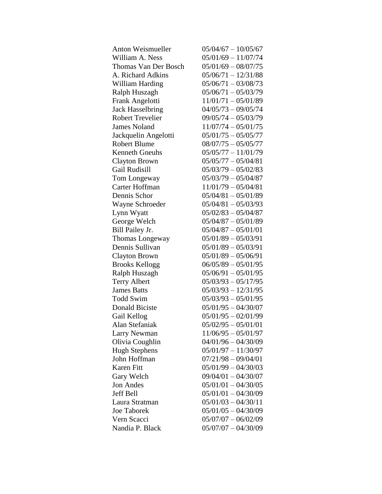| <b>Anton Weismueller</b> | $05/04/67 - 10/05/67$ |
|--------------------------|-----------------------|
| William A. Ness          | $05/01/69 - 11/07/74$ |
| Thomas Van Der Bosch     | $05/01/69 - 08/07/75$ |
| A. Richard Adkins        | $05/06/71 - 12/31/88$ |
| William Harding          | $05/06/71 - 03/08/73$ |
| Ralph Huszagh            | $05/06/71 - 05/03/79$ |
| Frank Angelotti          | $11/01/71 - 05/01/89$ |
| <b>Jack Hasselbring</b>  | $04/05/73 - 09/05/74$ |
| <b>Robert Trevelier</b>  | $09/05/74 - 05/03/79$ |
| <b>James Noland</b>      | $11/07/74 - 05/01/75$ |
| Jackquelin Angelotti     | $05/01/75 - 05/05/77$ |
| <b>Robert Blume</b>      | $08/07/75 - 05/05/77$ |
| <b>Kenneth Gneuhs</b>    | $05/05/77 - 11/01/79$ |
| <b>Clayton Brown</b>     | $05/05/77 - 05/04/81$ |
| Gail Rudisill            | $05/03/79 - 05/02/83$ |
| Tom Longeway             | $05/03/79 - 05/04/87$ |
| Carter Hoffman           | $11/01/79 - 05/04/81$ |
| Dennis Schor             | $05/04/81 - 05/01/89$ |
| Wayne Schroeder          | $05/04/81 - 05/03/93$ |
| Lynn Wyatt               | $05/02/83 - 05/04/87$ |
| George Welch             | $05/04/87 - 05/01/89$ |
| Bill Pailey Jr.          | $05/04/87 - 05/01/01$ |
| Thomas Longeway          | $05/01/89 - 05/03/91$ |
| Dennis Sullivan          | $05/01/89 - 05/03/91$ |
| Clayton Brown            | $05/01/89 - 05/06/91$ |
| <b>Brooks Kellogg</b>    | $06/05/89 - 05/01/95$ |
| Ralph Huszagh            | $05/06/91 - 05/01/95$ |
| <b>Terry Albert</b>      | $05/03/93 - 05/17/95$ |
| <b>James Batts</b>       | $05/03/93 - 12/31/95$ |
| <b>Todd Swim</b>         | $05/03/93 - 05/01/95$ |
| <b>Donald Biciste</b>    | $05/01/95 - 04/30/07$ |
| Gail Kellog              | $05/01/95 - 02/01/99$ |
| Alan Stefaniak           | $05/02/95 - 05/01/01$ |
| Larry Newman             | $11/06/95 - 05/01/97$ |
| Olivia Coughlin          | $04/01/96 - 04/30/09$ |
| <b>Hugh Stephens</b>     | $05/01/97 - 11/30/97$ |
| John Hoffman             | $07/21/98 - 09/04/01$ |
| <b>Karen Fitt</b>        | $05/01/99 - 04/30/03$ |
| Gary Welch               | $09/04/01 - 04/30/07$ |
| <b>Jon Andes</b>         | $05/01/01 - 04/30/05$ |
| <b>Jeff Bell</b>         | $05/01/01 - 04/30/09$ |
| Laura Stratman           | $05/01/03 - 04/30/11$ |
| <b>Joe Taborek</b>       | $05/01/05 - 04/30/09$ |
| Vern Scacci              | $05/07/07 - 06/02/09$ |
| Nandia P. Black          | $05/07/07 - 04/30/09$ |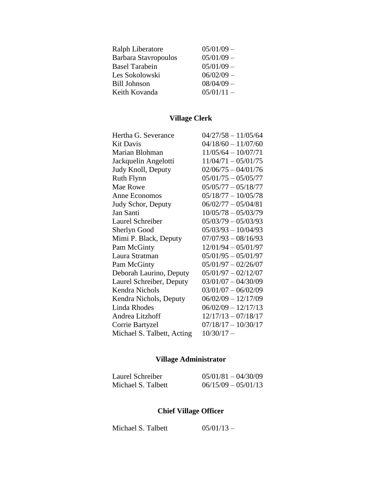| Ralph Liberatore            | $05/01/09$ - |
|-----------------------------|--------------|
| <b>Barbara Stavropoulos</b> | $05/01/09 -$ |
| <b>Basel Tarabein</b>       | $05/01/09 -$ |
| Les Sokolowski              | $06/02/09 -$ |
| <b>Bill Johnson</b>         | $08/04/09 -$ |
| Keith Kovanda               | $05/01/11 -$ |

# **Village Clerk**

| Hertha G. Severance        | $04/27/58 - 11/05/64$ |
|----------------------------|-----------------------|
| <b>Kit Davis</b>           | $04/18/60 - 11/07/60$ |
| Marian Blohman             | $11/05/64 - 10/07/71$ |
| Jackquelin Angelotti       | $11/04/71 - 05/01/75$ |
| Judy Knoll, Deputy         | $02/06/75 - 04/01/76$ |
| <b>Ruth Flynn</b>          | $05/01/75 - 05/05/77$ |
| Mae Rowe                   | $05/05/77 - 05/18/77$ |
| Anne Economos              | $05/18/77 - 10/05/78$ |
| Judy Schor, Deputy         | $06/02/77 - 05/04/81$ |
| Jan Santi                  | $10/05/78 - 05/03/79$ |
| Laurel Schreiber           | $05/03/79 - 05/03/93$ |
| Sherlyn Good               | $05/03/93 - 10/04/93$ |
| Mimi P. Black, Deputy      | $07/07/93 - 08/16/93$ |
| Pam McGinty                | $12/01/94 - 05/01/97$ |
| Laura Stratman             | $05/01/95 - 05/01/97$ |
| Pam McGinty                | $05/01/97 - 02/26/07$ |
| Deborah Laurino, Deputy    | $05/01/97 - 02/12/07$ |
| Laurel Schreiber, Deputy   | $03/01/07 - 04/30/09$ |
| Kendra Nichols             | $03/01/07 - 06/02/09$ |
| Kendra Nichols, Deputy     | $06/02/09 - 12/17/09$ |
| Linda Rhodes               | $06/02/09 - 12/17/13$ |
| Andrea Litzhoff            | $12/17/13 - 07/18/17$ |
| Corrie Bartyzel            | $07/18/17 - 10/30/17$ |
| Michael S. Talbett, Acting | $10/30/17 -$          |

# **Village Administrator**

| Laurel Schreiber   | $05/01/81 - 04/30/09$ |
|--------------------|-----------------------|
| Michael S. Talbett | $06/15/09 - 05/01/13$ |

# **Chief Village Officer**

Michael S. Talbett  $05/01/13$  –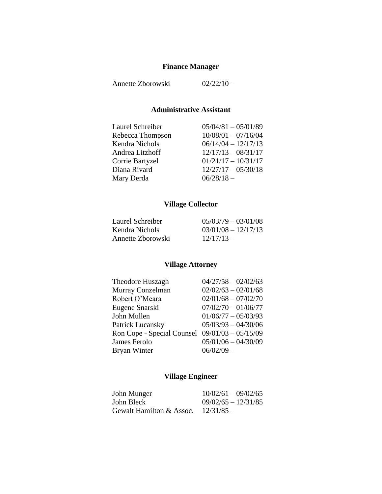## **Finance Manager**

Annette Zborowski 02/22/10 –

## **Administrative Assistant**

| Laurel Schreiber | $05/04/81 - 05/01/89$ |
|------------------|-----------------------|
| Rebecca Thompson | $10/08/01 - 07/16/04$ |
| Kendra Nichols   | $06/14/04 - 12/17/13$ |
| Andrea Litzhoff  | $12/17/13 - 08/31/17$ |
| Corrie Bartyzel  | $01/21/17 - 10/31/17$ |
| Diana Rivard     | $12/27/17 - 05/30/18$ |
| Mary Derda       | $06/28/18 -$          |

# **Village Collector**

| Laurel Schreiber  | $05/03/79 - 03/01/08$ |
|-------------------|-----------------------|
| Kendra Nichols    | $03/01/08 - 12/17/13$ |
| Annette Zborowski | $12/17/13 -$          |

## **Village Attorney**

| Theodore Huszagh                               | $04/27/58 - 02/02/63$ |
|------------------------------------------------|-----------------------|
| Murray Conzelman                               | $02/02/63 - 02/01/68$ |
| Robert O'Meara                                 | $02/01/68 - 07/02/70$ |
| Eugene Snarski                                 | $07/02/70 - 01/06/77$ |
| John Mullen                                    | $01/06/77 - 05/03/93$ |
| Patrick Lucansky                               | $05/03/93 - 04/30/06$ |
| Ron Cope - Special Counsel 09/01/03 - 05/15/09 |                       |
| James Ferolo                                   | $05/01/06 - 04/30/09$ |
| Bryan Winter                                   | $06/02/09 -$          |
|                                                |                       |

# **Village Engineer**

| John Munger              | $10/02/61 - 09/02/65$ |
|--------------------------|-----------------------|
| John Bleck               | $09/02/65 - 12/31/85$ |
| Gewalt Hamilton & Assoc. | $12/31/85 -$          |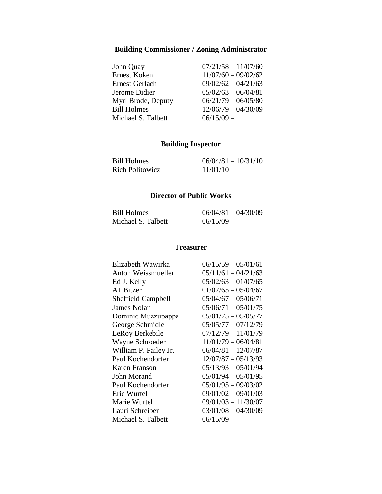# **Building Commissioner / Zoning Administrator**

| John Quay          | $07/21/58 - 11/07/60$ |
|--------------------|-----------------------|
| Ernest Koken       | $11/07/60 - 09/02/62$ |
| Ernest Gerlach     | $09/02/62 - 04/21/63$ |
| Jerome Didier      | $05/02/63 - 06/04/81$ |
| Myrl Brode, Deputy | $06/21/79 - 06/05/80$ |
| <b>Bill Holmes</b> | $12/06/79 - 04/30/09$ |
| Michael S. Talbett | $06/15/09 -$          |

## **Building Inspector**

| Bill Holmes            | $06/04/81 - 10/31/10$ |
|------------------------|-----------------------|
| <b>Rich Politowicz</b> | $11/01/10 -$          |

#### **Director of Public Works**

| <b>Bill Holmes</b> | $06/04/81 - 04/30/09$ |
|--------------------|-----------------------|
| Michael S. Talbett | $06/15/09$ –          |

#### **Treasurer**

| Elizabeth Wawirka         | $06/15/59 - 05/01/61$ |
|---------------------------|-----------------------|
| Anton Weissmueller        | $05/11/61 - 04/21/63$ |
| Ed J. Kelly               | $05/02/63 - 01/07/65$ |
| A1 Bitzer                 | $01/07/65 - 05/04/67$ |
| <b>Sheffield Campbell</b> | $05/04/67 - 05/06/71$ |
| <b>James Nolan</b>        | $05/06/71 - 05/01/75$ |
| Dominic Muzzupappa        | $05/01/75 - 05/05/77$ |
| George Schmidle           | $05/05/77 - 07/12/79$ |
| LeRoy Berkebile           | $07/12/79 - 11/01/79$ |
| Wayne Schroeder           | $11/01/79 - 06/04/81$ |
| William P. Pailey Jr.     | $06/04/81 - 12/07/87$ |
| Paul Kochendorfer         | $12/07/87 - 05/13/93$ |
| Karen Franson             | $05/13/93 - 05/01/94$ |
| John Morand               | $05/01/94 - 05/01/95$ |
| Paul Kochendorfer         | $05/01/95 - 09/03/02$ |
| Eric Wurtel               | $09/01/02 - 09/01/03$ |
| Marie Wurtel              | $09/01/03 - 11/30/07$ |
| Lauri Schreiber           | $03/01/08 - 04/30/09$ |
| Michael S. Talbett        | $06/15/09$ -          |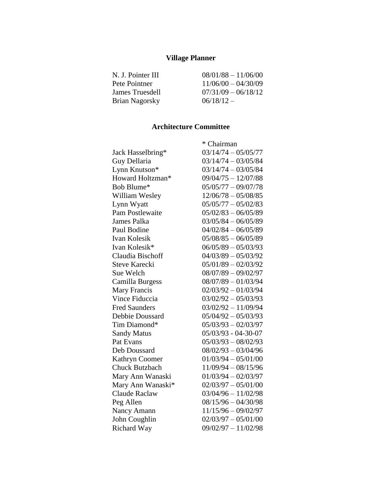## **Village Planner**

| N. J. Pointer III     | $08/01/88 - 11/06/00$ |
|-----------------------|-----------------------|
| Pete Pointner         | $11/06/00 - 04/30/09$ |
| James Truesdell       | $07/31/09 - 06/18/12$ |
| <b>Brian Nagorsky</b> | $06/18/12 -$          |

## **Architecture Committee**

|                       | * Chairman            |
|-----------------------|-----------------------|
| Jack Hasselbring*     | $03/14/74 - 05/05/77$ |
| Guy Dellaria          | $03/14/74 - 03/05/84$ |
| Lynn Knutson*         | $03/14/74 - 03/05/84$ |
| Howard Holtzman*      | $09/04/75 - 12/07/88$ |
| Bob Blume*            | $05/05/77 - 09/07/78$ |
| William Wesley        | $12/06/78 - 05/08/85$ |
| Lynn Wyatt            | $05/05/77 - 05/02/83$ |
| Pam Postlewaite       | $05/02/83 - 06/05/89$ |
| James Palka           | $03/05/84 - 06/05/89$ |
| Paul Bodine           | $04/02/84 - 06/05/89$ |
| Ivan Kolesik          | $05/08/85 - 06/05/89$ |
| Ivan Kolesik*         | $06/05/89 - 05/03/93$ |
| Claudia Bischoff      | $04/03/89 - 05/03/92$ |
| <b>Steve Karecki</b>  | $05/01/89 - 02/03/92$ |
| Sue Welch             | $08/07/89 - 09/02/97$ |
| Camilla Burgess       | $08/07/89 - 01/03/94$ |
| Mary Francis          | $02/03/92 - 01/03/94$ |
| Vince Fiduccia        | $03/02/92 - 05/03/93$ |
| <b>Fred Saunders</b>  | $03/02/92 - 11/09/94$ |
| Debbie Doussard       | $05/04/92 - 05/03/93$ |
| Tim Diamond*          | $05/03/93 - 02/03/97$ |
| <b>Sandy Matus</b>    | $05/03/93 - 04-30-07$ |
| Pat Evans             | $05/03/93 - 08/02/93$ |
| Deb Doussard          | $08/02/93 - 03/04/96$ |
| Kathryn Coomer        | $01/03/94 - 05/01/00$ |
| <b>Chuck Butzbach</b> | $11/09/94 - 08/15/96$ |
| Mary Ann Wanaski      | $01/03/94 - 02/03/97$ |
| Mary Ann Wanaski*     | $02/03/97 - 05/01/00$ |
| <b>Claude Raclaw</b>  | $03/04/96 - 11/02/98$ |
| Peg Allen             | $08/15/96 - 04/30/98$ |
| Nancy Amann           | $11/15/96 - 09/02/97$ |
| John Coughlin         | $02/03/97 - 05/01/00$ |
| <b>Richard Way</b>    | $09/02/97 - 11/02/98$ |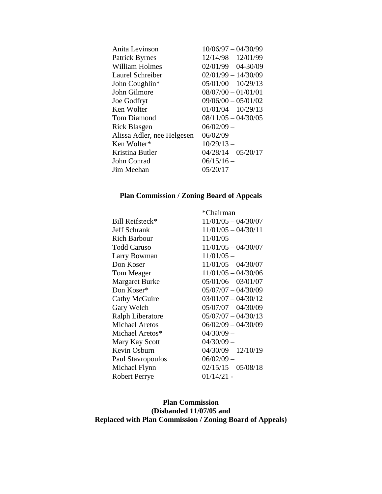| Anita Levinson             | $10/06/97 - 04/30/99$ |
|----------------------------|-----------------------|
| <b>Patrick Byrnes</b>      | $12/14/98 - 12/01/99$ |
| <b>William Holmes</b>      | $02/01/99 - 04-30/09$ |
| Laurel Schreiber           | $02/01/99 - 14/30/09$ |
| John Coughlin*             | $05/01/00 - 10/29/13$ |
| John Gilmore               | $08/07/00 - 01/01/01$ |
| <b>Joe Godfryt</b>         | $09/06/00 - 05/01/02$ |
| Ken Wolter                 | $01/01/04 - 10/29/13$ |
| <b>Tom Diamond</b>         | $08/11/05 - 04/30/05$ |
| Rick Blasgen               | $06/02/09 -$          |
| Alissa Adler, nee Helgesen | $06/02/09 -$          |
| Ken Wolter*                | $10/29/13 -$          |
| Kristina Butler            | $04/28/14 - 05/20/17$ |
| <b>John Conrad</b>         | $06/15/16 -$          |
| Jim Meehan                 | $05/20/17 -$          |
|                            |                       |

## **Plan Commission / Zoning Board of Appeals**

|                       | *Chairman             |
|-----------------------|-----------------------|
| Bill Reifsteck*       | $11/01/05 - 04/30/07$ |
| <b>Jeff Schrank</b>   | $11/01/05 - 04/30/11$ |
| <b>Rich Barbour</b>   | $11/01/05$ –          |
| <b>Todd Caruso</b>    | $11/01/05 - 04/30/07$ |
| Larry Bowman          | $11/01/05 -$          |
| Don Koser             | $11/01/05 - 04/30/07$ |
| <b>Tom Meager</b>     | $11/01/05 - 04/30/06$ |
| <b>Margaret Burke</b> | $05/01/06 - 03/01/07$ |
| Don Koser*            | $05/07/07 - 04/30/09$ |
| Cathy McGuire         | $03/01/07 - 04/30/12$ |
| Gary Welch            | $05/07/07 - 04/30/09$ |
| Ralph Liberatore      | $05/07/07 - 04/30/13$ |
| <b>Michael Aretos</b> | $06/02/09 - 04/30/09$ |
| Michael Aretos*       | $04/30/09 -$          |
| Mary Kay Scott        | $04/30/09 -$          |
| Kevin Osburn          | $04/30/09 - 12/10/19$ |
| Paul Stavropoulos     | $06/02/09 -$          |
| Michael Flynn         | $02/15/15 - 05/08/18$ |
| <b>Robert Perrye</b>  | $01/14/21$ -          |

#### **Plan Commission (Disbanded 11/07/05 and Replaced with Plan Commission / Zoning Board of Appeals)**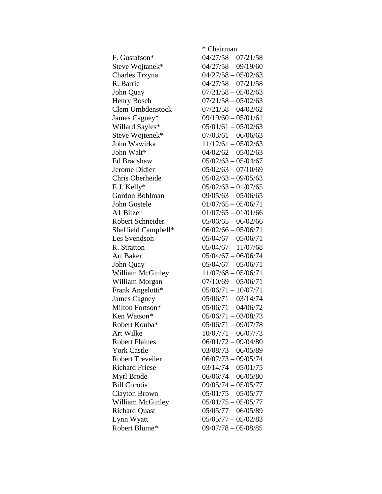|                         | * Chairman            |
|-------------------------|-----------------------|
| F. Gustafson*           | $04/27/58 - 07/21/58$ |
| Steve Wojtanek*         | $04/27/58 - 09/19/60$ |
| Charles Trzyna          | $04/27/58 - 05/02/63$ |
| R. Barrie               | $04/27/58 - 07/21/58$ |
| John Quay               | $07/21/58 - 05/02/63$ |
| Henry Bosch             | $07/21/58 - 05/02/63$ |
| Clem Umbdenstock        | $07/21/58 - 04/02/62$ |
| James Cagney*           | $09/19/60 - 05/01/61$ |
| Willard Sayles*         | $05/01/61 - 05/02/63$ |
| Steve Wojtenek*         | $07/03/61 - 06/06/63$ |
| John Wawirka            | $11/12/61 - 05/02/63$ |
| John Walt*              | $04/02/62 - 05/02/63$ |
| Ed Bradshaw             | $05/02/63 - 05/04/67$ |
| Jerome Didier           | $05/02/63 - 07/10/69$ |
| Chris Oberheide         | $05/02/63 - 09/05/63$ |
| E.J. Kelly*             | $05/02/63 - 01/07/65$ |
| Gordon Bohlman          | $09/05/63 - 05/06/65$ |
| John Gostele            | $01/07/65 - 05/06/71$ |
| A1 Bitzer               | $01/07/65 - 01/01/66$ |
| <b>Robert Schneider</b> | $05/06/65 - 06/02/66$ |
| Sheffield Campbell*     | $06/02/66 - 05/06/71$ |
| Les Svendson            | $05/04/67 - 05/06/71$ |
| R. Stratton             | $05/04/67 - 11/07/68$ |
| Art Baker               | $05/04/67 - 06/06/74$ |
| John Quay               | $05/04/67 - 05/06/71$ |
| William McGinley        | $11/07/68 - 05/06/71$ |
| William Morgan          | $07/10/69 - 05/06/71$ |
| Frank Angelotti*        | $05/06/71 - 10/07/71$ |
| James Cagney            | $05/06/71 - 03/14/74$ |
| Milton Fortson*         | $05/06/71 - 04/06/72$ |
| Ken Watson*             | $05/06/71 - 03/08/73$ |
| Robert Kouba*           | $05/06/71 - 09/07/78$ |
| Art Wilke               | $10/07/71 - 06/07/73$ |
| <b>Robert Flaines</b>   | $06/01/72 - 09/04/80$ |
| <b>York Castle</b>      | $03/08/73 - 06/05/89$ |
| <b>Robert Treveiler</b> | $06/07/73 - 09/05/74$ |
| <b>Richard Friese</b>   | $03/14/74 - 05/01/75$ |
| Myrl Brode              | $06/06/74 - 06/05/80$ |
| <b>Bill Corotis</b>     | $09/05/74 - 05/05/77$ |
| <b>Clayton Brown</b>    | $05/01/75 - 05/05/77$ |
| William McGinley        | $05/01/75 - 05/05/77$ |
| <b>Richard Quast</b>    | $05/05/77 - 06/05/89$ |
| Lynn Wyatt              | $05/05/77 - 05/02/83$ |
| Robert Blume*           | $09/07/78 - 05/08/85$ |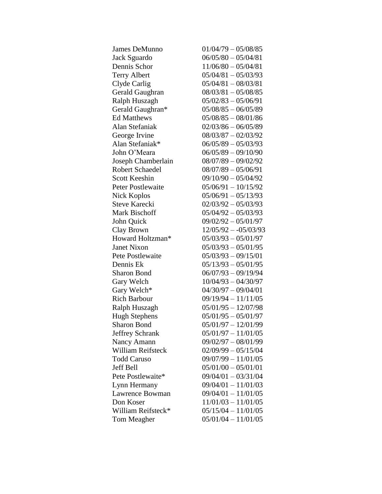| James DeMunno            | $01/04/79 - 05/08/85$  |
|--------------------------|------------------------|
| Jack Sguardo             | $06/05/80 - 05/04/81$  |
| Dennis Schor             | $11/06/80 - 05/04/81$  |
| <b>Terry Albert</b>      | $05/04/81 - 05/03/93$  |
| Clyde Carlig             | $05/04/81 - 08/03/81$  |
| Gerald Gaughran          | $08/03/81 - 05/08/85$  |
| Ralph Huszagh            | $05/02/83 - 05/06/91$  |
| Gerald Gaughran*         | $05/08/85 - 06/05/89$  |
| <b>Ed Matthews</b>       | $05/08/85 - 08/01/86$  |
| Alan Stefaniak           | $02/03/86 - 06/05/89$  |
| George Irvine            | $08/03/87 - 02/03/92$  |
| Alan Stefaniak*          | $06/05/89 - 05/03/93$  |
| John O'Meara             | $06/05/89 - 09/10/90$  |
| Joseph Chamberlain       | $08/07/89 - 09/02/92$  |
| Robert Schaedel          | $08/07/89 - 05/06/91$  |
| <b>Scott Keeshin</b>     | $09/10/90 - 05/04/92$  |
| <b>Peter Postlewaite</b> | $05/06/91 - 10/15/92$  |
| Nick Koplos              | $05/06/91 - 05/13/93$  |
| <b>Steve Karecki</b>     | $02/03/92 - 05/03/93$  |
| <b>Mark Bischoff</b>     | $05/04/92 - 05/03/93$  |
| John Quick               | $09/02/92 - 05/01/97$  |
| Clay Brown               | $12/05/92 - -05/03/93$ |
| Howard Holtzman*         | $05/03/93 - 05/01/97$  |
| <b>Janet Nixon</b>       | $05/03/93 - 05/01/95$  |
| Pete Postlewaite         | $05/03/93 - 09/15/01$  |
| Dennis Ek                | $05/13/93 - 05/01/95$  |
| <b>Sharon Bond</b>       | $06/07/93 - 09/19/94$  |
| Gary Welch               | $10/04/93 - 04/30/97$  |
| Gary Welch*              | $04/30/97 - 09/04/01$  |
| <b>Rich Barbour</b>      | $09/19/94 - 11/11/05$  |
| Ralph Huszagh            | $05/01/95 - 12/07/98$  |
| <b>Hugh Stephens</b>     | $05/01/95 - 05/01/97$  |
| <b>Sharon Bond</b>       | $05/01/97 - 12/01/99$  |
| <b>Jeffrey Schrank</b>   | $05/01/97 - 11/01/05$  |
| Nancy Amann              | $09/02/97 - 08/01/99$  |
| <b>William Reifsteck</b> | $02/09/99 - 05/15/04$  |
| <b>Todd Caruso</b>       | $09/07/99 - 11/01/05$  |
| <b>Jeff Bell</b>         | $05/01/00 - 05/01/01$  |
| Pete Postlewaite*        | $09/04/01 - 03/31/04$  |
| Lynn Hermany             | $09/04/01 - 11/01/03$  |
| Lawrence Bowman          | $09/04/01 - 11/01/05$  |
| Don Koser                | $11/01/03 - 11/01/05$  |
| William Reifsteck*       | $05/15/04 - 11/01/05$  |
| Tom Meagher              | $05/01/04 - 11/01/05$  |
|                          |                        |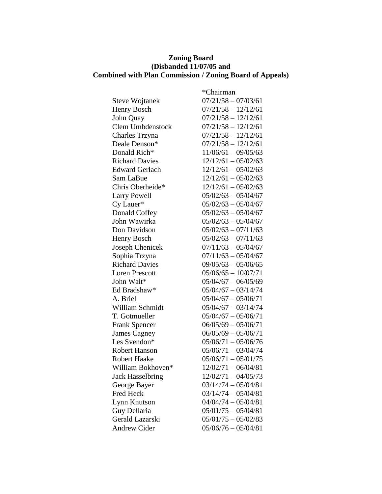#### **Zoning Board (Disbanded 11/07/05 and Combined with Plan Commission / Zoning Board of Appeals)**

|                         | *Chairman             |
|-------------------------|-----------------------|
| <b>Steve Wojtanek</b>   | $07/21/58 - 07/03/61$ |
| Henry Bosch             | $07/21/58 - 12/12/61$ |
| John Quay               | $07/21/58 - 12/12/61$ |
| <b>Clem Umbdenstock</b> | $07/21/58 - 12/12/61$ |
| Charles Trzyna          | $07/21/58 - 12/12/61$ |
| Deale Denson*           | $07/21/58 - 12/12/61$ |
| Donald Rich*            | $11/06/61 - 09/05/63$ |
| <b>Richard Davies</b>   | $12/12/61 - 05/02/63$ |
| <b>Edward Gerlach</b>   | $12/12/61 - 05/02/63$ |
| Sam LaBue               | $12/12/61 - 05/02/63$ |
| Chris Oberheide*        | $12/12/61 - 05/02/63$ |
| <b>Larry Powell</b>     | $05/02/63 - 05/04/67$ |
| Cy Lauer*               | $05/02/63 - 05/04/67$ |
| Donald Coffey           | $05/02/63 - 05/04/67$ |
| John Wawirka            | $05/02/63 - 05/04/67$ |
| Don Davidson            | $05/02/63 - 07/11/63$ |
| Henry Bosch             | $05/02/63 - 07/11/63$ |
| Joseph Chenicek         | $07/11/63 - 05/04/67$ |
| Sophia Trzyna           | $07/11/63 - 05/04/67$ |
| <b>Richard Davies</b>   | $09/05/63 - 05/06/65$ |
| <b>Loren Prescott</b>   | $05/06/65 - 10/07/71$ |
| John Walt*              | $05/04/67 - 06/05/69$ |
| Ed Bradshaw*            | $05/04/67 - 03/14/74$ |
| A. Briel                | $05/04/67 - 05/06/71$ |
| William Schmidt         | $05/04/67 - 03/14/74$ |
| T. Gotmueller           | $05/04/67 - 05/06/71$ |
| <b>Frank Spencer</b>    | $06/05/69 - 05/06/71$ |
| <b>James Cagney</b>     | $06/05/69 - 05/06/71$ |
| Les Svendon*            | $05/06/71 - 05/06/76$ |
| <b>Robert Hanson</b>    | $05/06/71 - 03/04/74$ |
| <b>Robert Haake</b>     | $05/06/71 - 05/01/75$ |
| William Bokhoven*       | $12/02/71 - 06/04/81$ |
| <b>Jack Hasselbring</b> | $12/02/71 - 04/05/73$ |
| George Bayer            | $03/14/74 - 05/04/81$ |
| Fred Heck               | $03/14/74 - 05/04/81$ |
| Lynn Knutson            | $04/04/74 - 05/04/81$ |
| Guy Dellaria            | $05/01/75 - 05/04/81$ |
| Gerald Lazarski         | $05/01/75 - 05/02/83$ |
| Andrew Cider            | $05/06/76 - 05/04/81$ |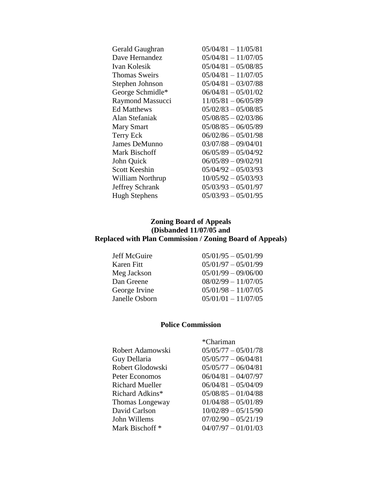| Gerald Gaughran      | $05/04/81 - 11/05/81$ |
|----------------------|-----------------------|
| Dave Hernandez       | $05/04/81 - 11/07/05$ |
| Ivan Kolesik         | $05/04/81 - 05/08/85$ |
| Thomas Sweirs        | $05/04/81 - 11/07/05$ |
| Stephen Johnson      | $05/04/81 - 03/07/88$ |
| George Schmidle*     | $06/04/81 - 05/01/02$ |
| Raymond Massucci     | $11/05/81 - 06/05/89$ |
| <b>Ed Matthews</b>   | $05/02/83 - 05/08/85$ |
| Alan Stefaniak       | $05/08/85 - 02/03/86$ |
| <b>Mary Smart</b>    | $05/08/85 - 06/05/89$ |
| Terry Eck            | $06/02/86 - 05/01/98$ |
| James DeMunno        | $03/07/88 - 09/04/01$ |
| Mark Bischoff        | $06/05/89 - 05/04/92$ |
| John Quick           | $06/05/89 - 09/02/91$ |
| <b>Scott Keeshin</b> | $05/04/92 - 05/03/93$ |
| William Northrup     | $10/05/92 - 05/03/93$ |
| Jeffrey Schrank      | $05/03/93 - 05/01/97$ |
| <b>Hugh Stephens</b> | $05/03/93 - 05/01/95$ |

#### **Zoning Board of Appeals (Disbanded 11/07/05 and Replaced with Plan Commission / Zoning Board of Appeals)**

Jeff McGuire 05/01/95 – 05/01/99 Karen Fitt 05/01/97 – 05/01/99<br>Meg Jackson 05/01/99 – 09/06/00 Meg Jackson 05/01/99 – 09/06/00<br>Dan Greene 08/02/99 – 11/07/05 Dan Greene 08/02/99 – 11/07/05<br>George Irvine 05/01/98 – 11/07/05  $05/01/98 - 11/07/05$ Janelle Osborn 05/01/01 – 11/07/05

#### **Police Commission**

|                            | *Chariman             |
|----------------------------|-----------------------|
| Robert Adamowski           | $05/05/77 - 05/01/78$ |
| Guy Dellaria               | $05/05/77 - 06/04/81$ |
| Robert Glodowski           | $05/05/77 - 06/04/81$ |
| Peter Economos             | $06/04/81 - 04/07/97$ |
| <b>Richard Mueller</b>     | $06/04/81 - 05/04/09$ |
| Richard Adkins*            | $05/08/85 - 01/04/88$ |
| Thomas Longeway            | $01/04/88 - 05/01/89$ |
| David Carlson              | $10/02/89 - 05/15/90$ |
| John Willems               | $07/02/90 - 05/21/19$ |
| Mark Bischoff <sup>*</sup> | $04/07/97 - 01/01/03$ |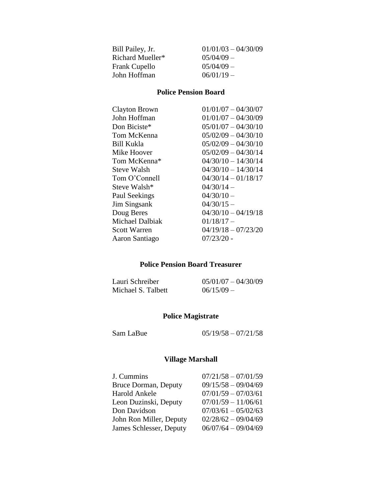| Bill Pailey, Jr. | $01/01/03 - 04/30/09$ |
|------------------|-----------------------|
| Richard Mueller* | $05/04/09$ –          |
| Frank Cupello    | $05/04/09$ –          |
| John Hoffman     | $06/01/19 -$          |
|                  |                       |

#### **Police Pension Board**

| <b>Clayton Brown</b> | $01/01/07 - 04/30/07$ |
|----------------------|-----------------------|
| John Hoffman         | $01/01/07 - 04/30/09$ |
| Don Biciste*         | $05/01/07 - 04/30/10$ |
| Tom McKenna          | $05/02/09 - 04/30/10$ |
| Bill Kukla           | $05/02/09 - 04/30/10$ |
| Mike Hoover          | $05/02/09 - 04/30/14$ |
| Tom McKenna*         | $04/30/10 - 14/30/14$ |
| Steve Walsh          | $04/30/10 - 14/30/14$ |
| Tom O'Connell        | $04/30/14 - 01/18/17$ |
| Steve Walsh*         | $04/30/14 -$          |
| Paul Seekings        | $04/30/10 -$          |
| <b>Jim Singsank</b>  | $04/30/15 -$          |
| Doug Beres           | $04/30/10 - 04/19/18$ |
| Michael Dalbiak      | $01/18/17 -$          |
| Scott Warren         | $04/19/18 - 07/23/20$ |
| Aaron Santiago       | $07/23/20$ -          |

#### **Police Pension Board Treasurer**

| Lauri Schreiber    | $05/01/07 - 04/30/09$ |
|--------------------|-----------------------|
| Michael S. Talbett | $06/15/09 -$          |

#### **Police Magistrate**

Sam LaBue 05/19/58 – 07/21/58

# **Village Marshall**

| J. Cummins              | $07/21/58 - 07/01/59$ |
|-------------------------|-----------------------|
| Bruce Dorman, Deputy    | $09/15/58 - 09/04/69$ |
| Harold Ankele           | $07/01/59 - 07/03/61$ |
| Leon Duzinski, Deputy   | $07/01/59 - 11/06/61$ |
| Don Davidson            | $07/03/61 - 05/02/63$ |
| John Ron Miller, Deputy | $02/28/62 - 09/04/69$ |
| James Schlesser, Deputy | $06/07/64 - 09/04/69$ |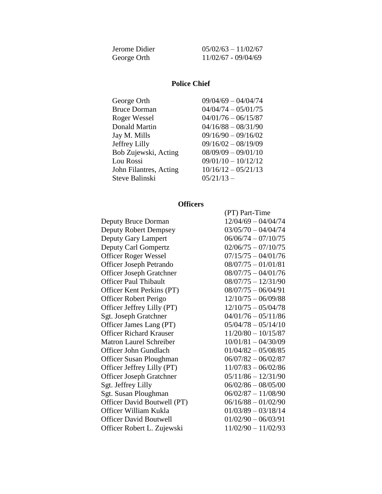| Jerome Didier | $05/02/63 - 11/02/67$ |
|---------------|-----------------------|
| George Orth   | $11/02/67 - 09/04/69$ |

#### **Police Chief**

| George Orth            | $09/04/69 - 04/04/74$ |
|------------------------|-----------------------|
| <b>Bruce Dorman</b>    | $04/04/74 - 05/01/75$ |
| Roger Wessel           | $04/01/76 - 06/15/87$ |
| Donald Martin          | $04/16/88 - 08/31/90$ |
| Jay M. Mills           | $09/16/90 - 09/16/02$ |
| Jeffrey Lilly          | $09/16/02 - 08/19/09$ |
| Bob Zujewski, Acting   | $08/09/09 - 09/01/10$ |
| Lou Rossi              | $09/01/10 - 10/12/12$ |
| John Filantres, Acting | $10/16/12 - 05/21/13$ |
| Steve Balinski         | $05/21/13 -$          |

## **Officers**

|                                 | (PT) Part-Time        |
|---------------------------------|-----------------------|
| Deputy Bruce Dorman             | $12/04/69 - 04/04/74$ |
| <b>Deputy Robert Dempsey</b>    | $03/05/70 - 04/04/74$ |
| Deputy Gary Lampert             | $06/06/74 - 07/10/75$ |
| Deputy Carl Gompertz            | $02/06/75 - 07/10/75$ |
| <b>Officer Roger Wessel</b>     | $07/15/75 - 04/01/76$ |
| <b>Officer Joseph Petrando</b>  | $08/07/75 - 01/01/81$ |
| <b>Officer Joseph Gratchner</b> | $08/07/75 - 04/01/76$ |
| <b>Officer Paul Thibault</b>    | $08/07/75 - 12/31/90$ |
| Officer Kent Perkins (PT)       | $08/07/75 - 06/04/91$ |
| Officer Robert Perigo           | $12/10/75 - 06/09/88$ |
| Officer Jeffrey Lilly (PT)      | $12/10/75 - 05/04/78$ |
| Sgt. Joseph Gratchner           | $04/01/76 - 05/11/86$ |
| Officer James Lang (PT)         | $05/04/78 - 05/14/10$ |
| <b>Officer Richard Krauser</b>  | $11/20/80 - 10/15/87$ |
| <b>Matron Laurel Schreiber</b>  | $10/01/81 - 04/30/09$ |
| Officer John Gundlach           | $01/04/82 - 05/08/85$ |
| <b>Officer Susan Ploughman</b>  | $06/07/82 - 06/02/87$ |
| Officer Jeffrey Lilly (PT)      | $11/07/83 - 06/02/86$ |
| <b>Officer Joseph Gratchner</b> | $05/11/86 - 12/31/90$ |
| Sgt. Jeffrey Lilly              | $06/02/86 - 08/05/00$ |
| Sgt. Susan Ploughman            | $06/02/87 - 11/08/90$ |
| Officer David Boutwell (PT)     | $06/16/88 - 01/02/90$ |
| Officer William Kukla           | $01/03/89 - 03/18/14$ |
| <b>Officer David Boutwell</b>   | $01/02/90 - 06/03/91$ |
| Officer Robert L. Zujewski      | $11/02/90 - 11/02/93$ |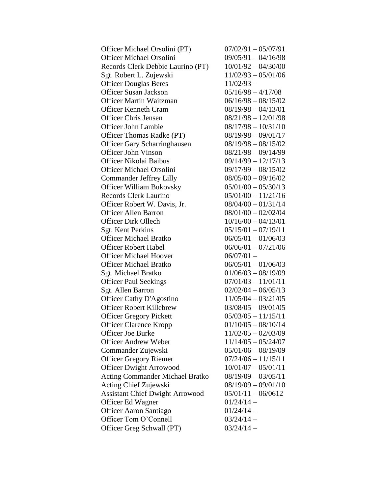| Officer Michael Orsolini (PT)          | $07/02/91 - 05/07/91$ |
|----------------------------------------|-----------------------|
| <b>Officer Michael Orsolini</b>        | $09/05/91 - 04/16/98$ |
| Records Clerk Debbie Laurino (PT)      | $10/01/92 - 04/30/00$ |
| Sgt. Robert L. Zujewski                | $11/02/93 - 05/01/06$ |
| <b>Officer Douglas Beres</b>           | $11/02/93 -$          |
| <b>Officer Susan Jackson</b>           | $05/16/98 - 4/17/08$  |
| <b>Officer Martin Waitzman</b>         | $06/16/98 - 08/15/02$ |
| <b>Officer Kenneth Cram</b>            | $08/19/98 - 04/13/01$ |
| <b>Officer Chris Jensen</b>            | $08/21/98 - 12/01/98$ |
| <b>Officer John Lambie</b>             | $08/17/98 - 10/31/10$ |
| Officer Thomas Radke (PT)              | $08/19/98 - 09/01/17$ |
| <b>Officer Gary Scharringhausen</b>    | $08/19/98 - 08/15/02$ |
| Officer John Vinson                    | $08/21/98 - 09/14/99$ |
| Officer Nikolai Baibus                 | $09/14/99 - 12/17/13$ |
| <b>Officer Michael Orsolini</b>        | $09/17/99 - 08/15/02$ |
| <b>Commander Jeffrey Lilly</b>         | $08/05/00 - 09/16/02$ |
| <b>Officer William Bukovsky</b>        | $05/01/00 - 05/30/13$ |
| <b>Records Clerk Laurino</b>           | $05/01/00 - 11/21/16$ |
| Officer Robert W. Davis, Jr.           | $08/04/00 - 01/31/14$ |
| <b>Officer Allen Barron</b>            | $08/01/00 - 02/02/04$ |
| <b>Officer Dirk Ollech</b>             | $10/16/00 - 04/13/01$ |
| Sgt. Kent Perkins                      | $05/15/01 - 07/19/11$ |
| <b>Officer Michael Bratko</b>          | $06/05/01 - 01/06/03$ |
| <b>Officer Robert Habel</b>            | $06/06/01 - 07/21/06$ |
| <b>Officer Michael Hoover</b>          | $06/07/01 -$          |
| <b>Officer Michael Bratko</b>          | $06/05/01 - 01/06/03$ |
| Sgt. Michael Bratko                    | $01/06/03 - 08/19/09$ |
| <b>Officer Paul Seekings</b>           | $07/01/03 - 11/01/11$ |
| Sgt. Allen Barron                      | $02/02/04 - 06/05/13$ |
| <b>Officer Cathy D'Agostino</b>        | $11/05/04 - 03/21/05$ |
| <b>Officer Robert Killebrew</b>        | $03/08/05 - 09/01/05$ |
| <b>Officer Gregory Pickett</b>         | $05/03/05 - 11/15/11$ |
| <b>Officer Clarence Kropp</b>          | $01/10/05 - 08/10/14$ |
| Officer Joe Burke                      | $11/02/05 - 02/03/09$ |
| <b>Officer Andrew Weber</b>            | $11/14/05 - 05/24/07$ |
| Commander Zujewski                     | $05/01/06 - 08/19/09$ |
| <b>Officer Gregory Riemer</b>          | $07/24/06 - 11/15/11$ |
| <b>Officer Dwight Arrowood</b>         | $10/01/07 - 05/01/11$ |
| <b>Acting Commander Michael Bratko</b> | $08/19/09 - 03/05/11$ |
| Acting Chief Zujewski                  | $08/19/09 - 09/01/10$ |
| <b>Assistant Chief Dwight Arrowood</b> | $05/01/11 - 06/0612$  |
| Officer Ed Wagner                      | $01/24/14 -$          |
| <b>Officer Aaron Santiago</b>          | $01/24/14 -$          |
| Officer Tom O'Connell                  | $03/24/14 -$          |
| Officer Greg Schwall (PT)              | $03/24/14 -$          |